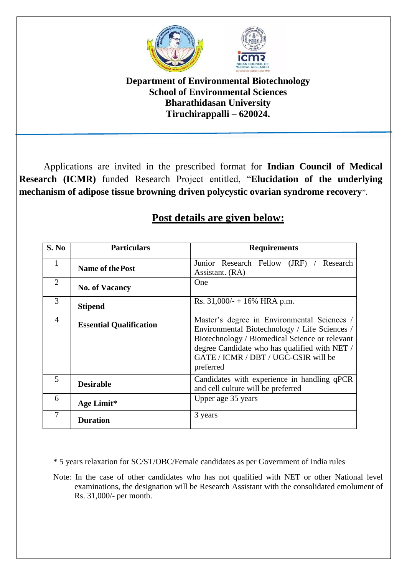

## **Department of Environmental Biotechnology School of Environmental Sciences Bharathidasan University Tiruchirappalli – 620024.**

Applications are invited in the prescribed format for **Indian Council of Medical Research (ICMR)** funded Research Project entitled, "**Elucidation of the underlying mechanism of adipose tissue browning driven polycystic ovarian syndrome recovery**".

| S. No          | <b>Particulars</b>             | <b>Requirements</b>                                                                                                                                                                                                                                  |
|----------------|--------------------------------|------------------------------------------------------------------------------------------------------------------------------------------------------------------------------------------------------------------------------------------------------|
|                | <b>Name of the Post</b>        | Junior Research Fellow (JRF) / Research<br>Assistant. (RA)                                                                                                                                                                                           |
| $\overline{2}$ | <b>No. of Vacancy</b>          | One                                                                                                                                                                                                                                                  |
| 3              | <b>Stipend</b>                 | Rs. $31,000/ - +16\%$ HRA p.m.                                                                                                                                                                                                                       |
| $\overline{4}$ | <b>Essential Qualification</b> | Master's degree in Environmental Sciences /<br>Environmental Biotechnology / Life Sciences /<br>Biotechnology / Biomedical Science or relevant<br>degree Candidate who has qualified with NET /<br>GATE / ICMR / DBT / UGC-CSIR will be<br>preferred |
| 5              | <b>Desirable</b>               | Candidates with experience in handling qPCR<br>and cell culture will be preferred                                                                                                                                                                    |
| 6              | Age Limit*                     | Upper age 35 years                                                                                                                                                                                                                                   |
| 7              | <b>Duration</b>                | 3 years                                                                                                                                                                                                                                              |

## **Post details are given below:**

\* 5 years relaxation for SC/ST/OBC/Female candidates as per Government of India rules

Note: In the case of other candidates who has not qualified with NET or other National level examinations, the designation will be Research Assistant with the consolidated emolument of Rs. 31,000/- per month.